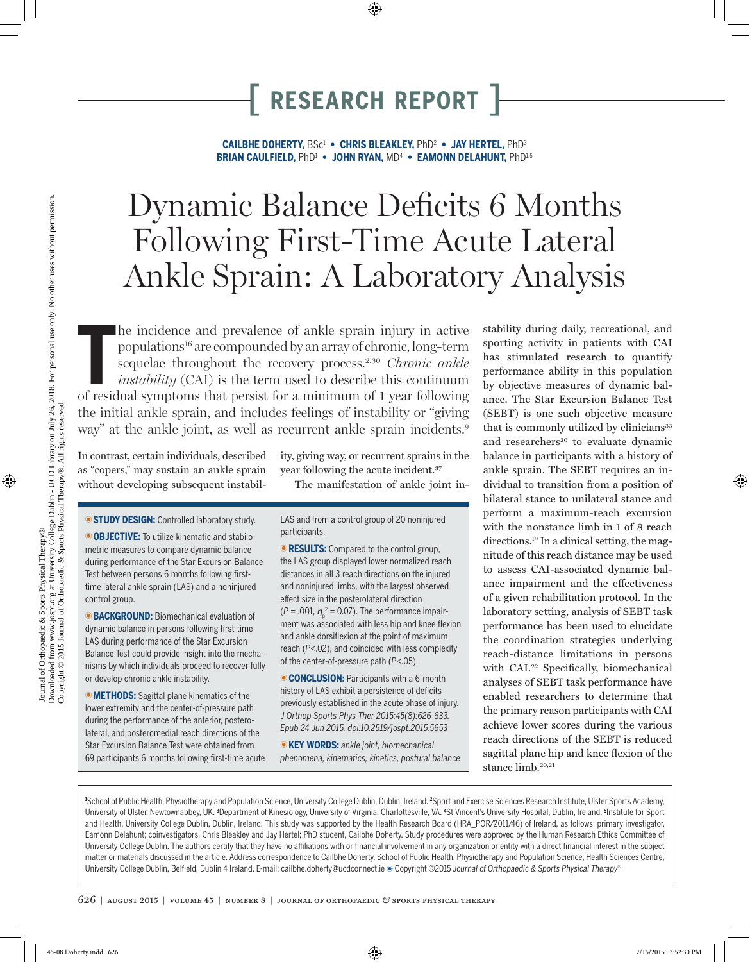**CAILBHE DOHERTY,** BSc1  **• CHRIS BLEAKLEY,** PhD2  **• JAY HERTEL,** PhD3 **BRIAN CAULFIELD,** PhD1  **• JOHN RYAN,** MD4  **• EAMONN DELAHUNT,** PhD1,5

# Dynamic Balance Deficits 6 Months Following First-Time Acute Lateral Ankle Sprain: A Laboratory Analysis

The incidence and prevalence of ankle sprain injury in active populations<sup>16</sup> are compounded by an array of chronic, long-term sequelae throughout the recovery process.<sup>2,30</sup> *Chronic ankle instability* (CAI) is the term u he incidence and prevalence of ankle sprain injury in active populations16 are compounded by an array of chronic, long-term sequelae throughout the recovery process.2,30 *Chronic ankle instability* (CAI) is the term used to describe this continuum the initial ankle sprain, and includes feelings of instability or "giving way" at the ankle joint, as well as recurrent ankle sprain incidents.<sup>9</sup>

In contrast, certain individuals, described as "copers," may sustain an ankle sprain without developing subsequent instability, giving way, or recurrent sprains in the year following the acute incident.<sup>37</sup>

The manifestation of ankle joint in-

**STUDY DESIGN:** Controlled laboratory study.

**OBJECTIVE:** To utilize kinematic and stabilometric measures to compare dynamic balance during performance of the Star Excursion Balance Test between persons 6 months following firsttime lateral ankle sprain (LAS) and a noninjured control group.

**BACKGROUND:** Biomechanical evaluation of dynamic balance in persons following first-time LAS during performance of the Star Excursion Balance Test could provide insight into the mechanisms by which individuals proceed to recover fully or develop chronic ankle instability.

**METHODS:** Sagittal plane kinematics of the lower extremity and the center-of-pressure path during the performance of the anterior, posterolateral, and posteromedial reach directions of the Star Excursion Balance Test were obtained from 69 participants 6 months following first-time acute LAS and from a control group of 20 noninjured participants.

**RESULTS:** Compared to the control group, the LAS group displayed lower normalized reach distances in all 3 reach directions on the injured and noninjured limbs, with the largest observed effect size in the posterolateral direction  $(P = .001, \eta_{p}^{2} = 0.07)$ . The performance impairment was associated with less hip and knee flexion and ankle dorsiflexion at the point of maximum reach (*P*<.02), and coincided with less complexity of the center-of-pressure path (*P*<.05).

**CONCLUSION:** Participants with a 6-month history of LAS exhibit a persistence of deficits previously established in the acute phase of injury. *J Orthop Sports Phys Ther 2015;45(8):626-633. Epub 24 Jun 2015. doi:10.2519/jospt.2015.5653*

T**KEY WORDS:** *ankle joint, biomechanical phenomena, kinematics, kinetics, postural balance*

stability during daily, recreational, and sporting activity in patients with CAI has stimulated research to quantify performance ability in this population by objective measures of dynamic balance. The Star Excursion Balance Test (SEBT) is one such objective measure that is commonly utilized by clinicians<sup>33</sup> and researchers<sup>20</sup> to evaluate dynamic balance in participants with a history of ankle sprain. The SEBT requires an individual to transition from a position of bilateral stance to unilateral stance and perform a maximum-reach excursion with the nonstance limb in 1 of 8 reach directions.19 In a clinical setting, the magnitude of this reach distance may be used to assess CAI-associated dynamic balance impairment and the effectiveness of a given rehabilitation protocol. In the laboratory setting, analysis of SEBT task performance has been used to elucidate the coordination strategies underlying reach-distance limitations in persons with CAI.22 Specifically, biomechanical analyses of SEBT task performance have enabled researchers to determine that the primary reason participants with CAI achieve lower scores during the various reach directions of the SEBT is reduced sagittal plane hip and knee flexion of the stance limb.<sup>20,21</sup>

<sup>1</sup>School of Public Health, Physiotherapy and Population Science, University College Dublin, Dublin, Ireland. <sup>2</sup>Sport and Exercise Sciences Research Institute, Ulster Sports Academy, University of Ulster, Newtownabbey, UK. <sup>3</sup>Department of Kinesiology, University of Virginia, Charlottesville, VA. <sup>4</sup>St Vincent's University Hospital, Dublin, Ireland. <sup>5</sup>Institute for Sport and Health, University College Dublin, Dublin, Ireland. This study was supported by the Health Research Board (HRA\_POR/2011/46) of Ireland, as follows: primary investigator, Eamonn Delahunt; coinvestigators, Chris Bleakley and Jay Hertel; PhD student, Cailbhe Doherty. Study procedures were approved by the Human Research Ethics Committee of University College Dublin. The authors certify that they have no affiliations with or financial involvement in any organization or entity with a direct financial interest in the subject matter or materials discussed in the article. Address correspondence to Cailbhe Doherty, School of Public Health, Physiotherapy and Population Science, Health Sciences Centre, University College Dublin, Belfield, Dublin 4 Ireland. E-mail: cailbhe.doherty@ucdconnect.ie ● Copyright ©2015 *Journal of Orthopaedic & Sports Physical Therapy®*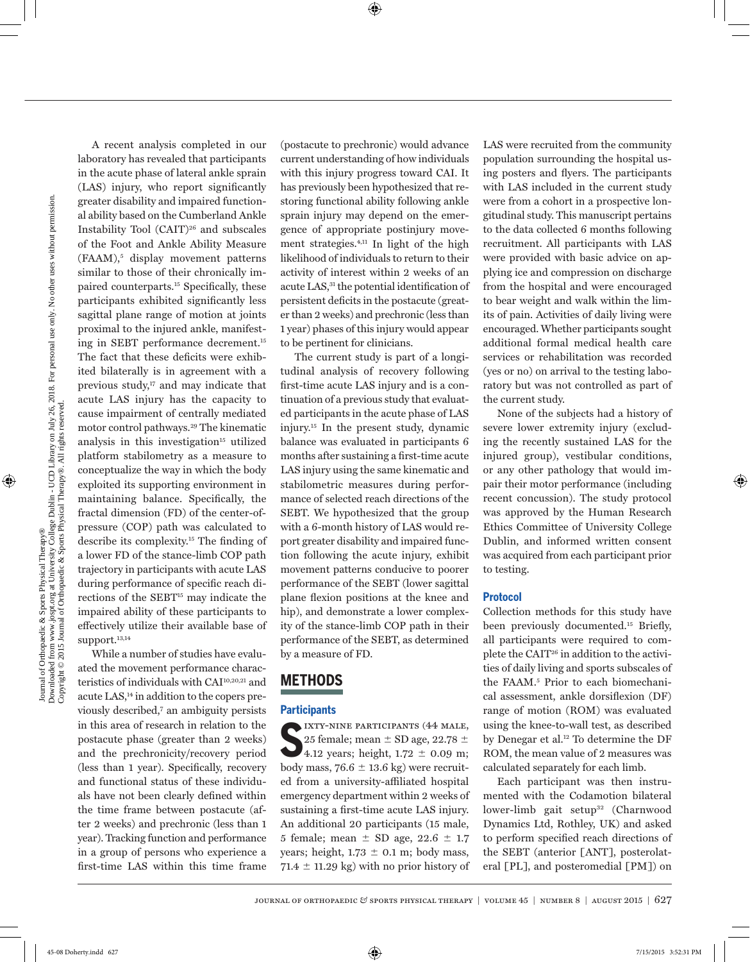A recent analysis completed in our laboratory has revealed that participants in the acute phase of lateral ankle sprain (LAS) injury, who report significantly greater disability and impaired functional ability based on the Cumberland Ankle Instability Tool (CAIT)<sup>26</sup> and subscales of the Foot and Ankle Ability Measure (FAAM),<sup>5</sup> display movement patterns similar to those of their chronically impaired counterparts.15 Specifically, these participants exhibited significantly less sagittal plane range of motion at joints proximal to the injured ankle, manifesting in SEBT performance decrement.15 The fact that these deficits were exhibited bilaterally is in agreement with a previous study,<sup>17</sup> and may indicate that acute LAS injury has the capacity to cause impairment of centrally mediated motor control pathways.<sup>29</sup> The kinematic analysis in this investigation<sup>15</sup> utilized platform stabilometry as a measure to conceptualize the way in which the body exploited its supporting environment in maintaining balance. Specifically, the fractal dimension (FD) of the center-ofpressure (COP) path was calculated to describe its complexity.15 The finding of a lower FD of the stance-limb COP path trajectory in participants with acute LAS during performance of specific reach directions of the SEBT<sup>15</sup> may indicate the impaired ability of these participants to effectively utilize their available base of support.<sup>13,14</sup>

While a number of studies have evaluated the movement performance characteristics of individuals with CAI10,20,21 and acute LAS,14 in addition to the copers previously described,7 an ambiguity persists in this area of research in relation to the postacute phase (greater than 2 weeks) and the prechronicity/recovery period (less than 1 year). Specifically, recovery and functional status of these individuals have not been clearly defined within the time frame between postacute (after 2 weeks) and prechronic (less than 1 year). Tracking function and performance in a group of persons who experience a first-time LAS within this time frame

(postacute to prechronic) would advance current understanding of how individuals with this injury progress toward CAI. It has previously been hypothesized that restoring functional ability following ankle sprain injury may depend on the emergence of appropriate postinjury movement strategies.4,11 In light of the high likelihood of individuals to return to their activity of interest within 2 weeks of an acute LAS,<sup>31</sup> the potential identification of persistent deficits in the postacute (greater than 2 weeks) and prechronic (less than 1 year) phases of this injury would appear to be pertinent for clinicians.

The current study is part of a longitudinal analysis of recovery following first-time acute LAS injury and is a continuation of a previous study that evaluated participants in the acute phase of LAS injury.15 In the present study, dynamic balance was evaluated in participants 6 months after sustaining a first-time acute LAS injury using the same kinematic and stabilometric measures during performance of selected reach directions of the SEBT. We hypothesized that the group with a 6-month history of LAS would report greater disability and impaired function following the acute injury, exhibit movement patterns conducive to poorer performance of the SEBT (lower sagittal plane flexion positions at the knee and hip), and demonstrate a lower complexity of the stance-limb COP path in their performance of the SEBT, as determined by a measure of FD.

### **METHODS**

### **Participants**

**S**125 female; mean ± SD age, 22.78 ±<br>
4.12 years; height, 1.72 ± 0.09 m; 25 female; mean  $\pm$  SD age, 22.78  $\pm$ 4.12 years; height,  $1.72 \pm 0.09$  m; body mass, 76.6  $\pm$  13.6 kg) were recruited from a university-affiliated hospital emergency department within 2 weeks of sustaining a first-time acute LAS injury. An additional 20 participants (15 male, 5 female; mean  $\pm$  SD age, 22.6  $\pm$  1.7 years; height,  $1.73 \pm 0.1$  m; body mass,  $71.4 \pm 11.29$  kg) with no prior history of

LAS were recruited from the community population surrounding the hospital using posters and flyers. The participants with LAS included in the current study were from a cohort in a prospective longitudinal study. This manuscript pertains to the data collected 6 months following recruitment. All participants with LAS were provided with basic advice on applying ice and compression on discharge from the hospital and were encouraged to bear weight and walk within the limits of pain. Activities of daily living were encouraged. Whether participants sought additional formal medical health care services or rehabilitation was recorded (yes or no) on arrival to the testing laboratory but was not controlled as part of the current study.

None of the subjects had a history of severe lower extremity injury (excluding the recently sustained LAS for the injured group), vestibular conditions, or any other pathology that would impair their motor performance (including recent concussion). The study protocol was approved by the Human Research Ethics Committee of University College Dublin, and informed written consent was acquired from each participant prior to testing.

#### **Protocol**

Collection methods for this study have been previously documented.15 Briefly, all participants were required to complete the CAIT26 in addition to the activities of daily living and sports subscales of the FAAM.5 Prior to each biomechanical assessment, ankle dorsiflexion (DF) range of motion (ROM) was evaluated using the knee-to-wall test, as described by Denegar et al.<sup>12</sup> To determine the DF ROM, the mean value of 2 measures was calculated separately for each limb.

Each participant was then instrumented with the Codamotion bilateral lower-limb gait setup<sup>32</sup> (Charnwood Dynamics Ltd, Rothley, UK) and asked to perform specified reach directions of the SEBT (anterior [ANT], posterolateral [PL], and posteromedial [PM]) on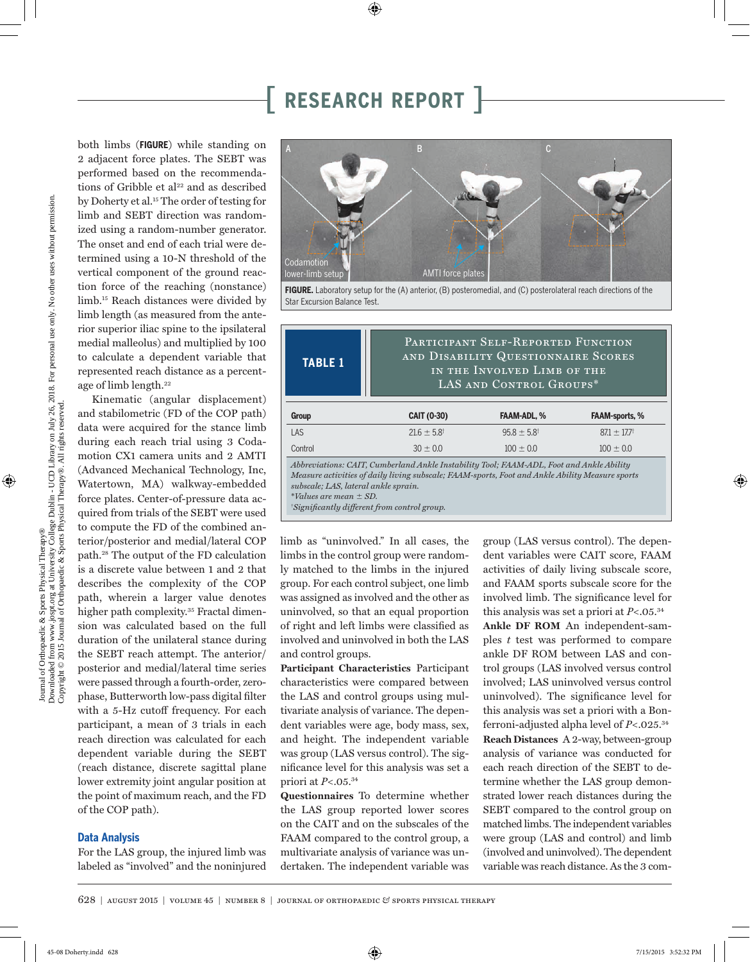both limbs (**FIGURE**) while standing on 2 adjacent force plates. The SEBT was performed based on the recommendations of Gribble et al<sup>22</sup> and as described by Doherty et al.<sup>15</sup> The order of testing for limb and SEBT direction was randomized using a random-number generator. The onset and end of each trial were determined using a 10-N threshold of the vertical component of the ground reaction force of the reaching (nonstance) limb.15 Reach distances were divided by limb length (as measured from the anterior superior iliac spine to the ipsilateral medial malleolus) and multiplied by 100 to calculate a dependent variable that represented reach distance as a percentage of limb length.<sup>22</sup>

Kinematic (angular displacement) and stabilometric (FD of the COP path) data were acquired for the stance limb during each reach trial using 3 Codamotion CX1 camera units and 2 AMTI (Advanced Mechanical Technology, Inc, Watertown, MA) walkway-embedded force plates. Center-of-pressure data acquired from trials of the SEBT were used to compute the FD of the combined anterior/posterior and medial/lateral COP path.28 The output of the FD calculation is a discrete value between 1 and 2 that describes the complexity of the COP path, wherein a larger value denotes higher path complexity.<sup>35</sup> Fractal dimension was calculated based on the full duration of the unilateral stance during the SEBT reach attempt. The anterior/ posterior and medial/lateral time series were passed through a fourth-order, zerophase, Butterworth low-pass digital filter with a 5-Hz cutoff frequency. For each participant, a mean of 3 trials in each reach direction was calculated for each dependent variable during the SEBT (reach distance, discrete sagittal plane lower extremity joint angular position at the point of maximum reach, and the FD of the COP path).

#### **Data Analysis**

For the LAS group, the injured limb was labeled as "involved" and the noninjured



**FIGURE.** Laboratory setup for the (A) anterior, (B) posteromedial, and (C) posterolateral reach directions of the Star Excursion Balance Test.

| <b>TABLE 1</b>                                                                                                                                                                                                                                                                                                          | PARTICIPANT SELF-REPORTED FUNCTION<br>AND DISABILITY QUESTIONNAIRE SCORES<br>IN THE INVOLVED LIMB OF THE<br>LAS AND CONTROL GROUPS* |                          |                       |  |  |  |
|-------------------------------------------------------------------------------------------------------------------------------------------------------------------------------------------------------------------------------------------------------------------------------------------------------------------------|-------------------------------------------------------------------------------------------------------------------------------------|--------------------------|-----------------------|--|--|--|
| Group                                                                                                                                                                                                                                                                                                                   | CAIT (0-30)                                                                                                                         | <b>FAAM-ADL, %</b>       | <b>FAAM-sports, %</b> |  |  |  |
| LAS                                                                                                                                                                                                                                                                                                                     | $21.6 \pm 5.8$ <sup>†</sup>                                                                                                         | $95.8 \pm 5.8^{\dagger}$ | $87.1 \pm 17.7$       |  |  |  |
| Control                                                                                                                                                                                                                                                                                                                 | $30 \pm 0.0$<br>$100 \pm 0.0$<br>$100 \pm 0.0$                                                                                      |                          |                       |  |  |  |
| Abbreviations: CAIT, Cumberland Ankle Instability Tool; FAAM-ADL, Foot and Ankle Ability<br>Measure activities of daily living subscale; FAAM-sports, Foot and Ankle Ability Measure sports<br>subscale; LAS, lateral ankle sprain.<br>*Values are mean $\pm$ SD.<br><i>Significantly different from control group.</i> |                                                                                                                                     |                          |                       |  |  |  |

limb as "uninvolved." In all cases, the limbs in the control group were randomly matched to the limbs in the injured group. For each control subject, one limb was assigned as involved and the other as uninvolved, so that an equal proportion of right and left limbs were classified as involved and uninvolved in both the LAS and control groups.

**Participant Characteristics** Participant characteristics were compared between the LAS and control groups using multivariate analysis of variance. The dependent variables were age, body mass, sex, and height. The independent variable was group (LAS versus control). The significance level for this analysis was set a priori at *P*<.05.34

**Questionnaires** To determine whether the LAS group reported lower scores on the CAIT and on the subscales of the FAAM compared to the control group, a multivariate analysis of variance was undertaken. The independent variable was

group (LAS versus control). The dependent variables were CAIT score, FAAM activities of daily living subscale score, and FAAM sports subscale score for the involved limb. The significance level for this analysis was set a priori at *P*<.05.34

**Ankle DF ROM** An independent-samples *t* test was performed to compare ankle DF ROM between LAS and control groups (LAS involved versus control involved; LAS uninvolved versus control uninvolved). The significance level for this analysis was set a priori with a Bonferroni-adjusted alpha level of *P*<.025.34 **Reach Distances** A 2-way, between-group analysis of variance was conducted for each reach direction of the SEBT to determine whether the LAS group demonstrated lower reach distances during the SEBT compared to the control group on matched limbs. The independent variables were group (LAS and control) and limb (involved and uninvolved). The dependent variable was reach distance. As the 3 com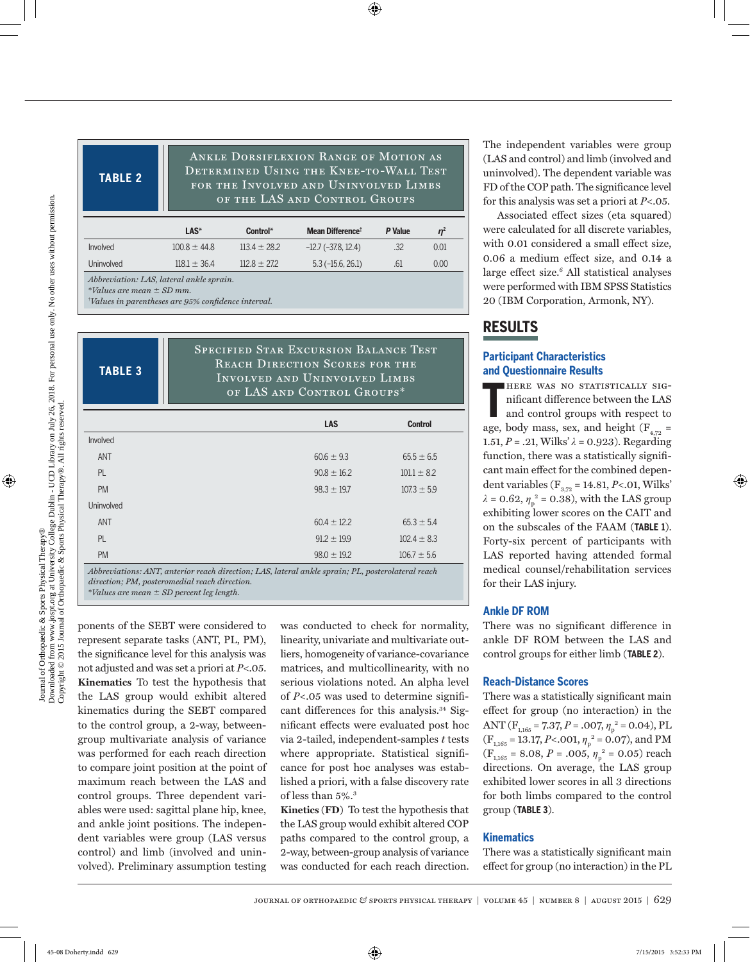**TABLE 2**

Ankle Dorsiflexion Range of Motion as Determined Using the Knee-to-Wall Test for the Involved and Uninvolved Limbs of the LAS and Control Groups

|                                          | LAS*             | Control*         | Mean Difference <sup>†</sup> | P Value | n <sup>2</sup> |  |
|------------------------------------------|------------------|------------------|------------------------------|---------|----------------|--|
| Involved                                 | $100.8 \pm 44.8$ | $113.4 \pm 28.2$ | $-12.7$ ( $-37.8$ , 12.4)    | .32     | 0.01           |  |
| <b>Uninvolved</b>                        | $118.1 + 36.4$   | $112.8 + 27.2$   | $5.3(-15.6, 26.1)$           | .61     | 0.00           |  |
| Abbreviation: LAS, lateral ankle sprain. |                  |                  |                              |         |                |  |

\**Values are mean SD mm.*

† *Values in parentheses are 95% confidence interval.*

**TABLE 3**

Specified Star Excursion Balance Test Reach Direction Scores for the Involved and Uninvolved Limbs of LAS and Control Groups\*

|            | <b>LAS</b>                                                                                     | <b>Control</b>  |
|------------|------------------------------------------------------------------------------------------------|-----------------|
| Involved   |                                                                                                |                 |
| ANT        | $60.6 \pm 9.3$                                                                                 | $65.5 \pm 6.5$  |
| <b>PL</b>  | $90.8 \pm 16.2$                                                                                | $101.1 \pm 8.2$ |
| <b>PM</b>  | $98.3 \pm 19.7$                                                                                | $107.3 \pm 5.9$ |
| Uninvolved |                                                                                                |                 |
| <b>ANT</b> | $60.4 \pm 12.2$                                                                                | $65.3 \pm 5.4$  |
| <b>PL</b>  | $91.2 \pm 19.9$                                                                                | $102.4 \pm 8.3$ |
| <b>PM</b>  | $98.0 \pm 19.2$                                                                                | $106.7 \pm 5.6$ |
|            | Abbreviations: ANT anterior reach direction: LAS lateral ankle sprain: PL posterolateral reach |                 |

*Abbreviations: ANT, anterior reach direction; LAS, lateral ankle sprain; PL, posterolateral reach direction; PM, posteromedial reach direction.* \**Values are mean SD percent leg length.* 

ponents of the SEBT were considered to represent separate tasks (ANT, PL, PM), the significance level for this analysis was not adjusted and was set a priori at *P*<.05. **Kinematics** To test the hypothesis that the LAS group would exhibit altered kinematics during the SEBT compared to the control group, a 2-way, betweengroup multivariate analysis of variance was performed for each reach direction to compare joint position at the point of maximum reach between the LAS and control groups. Three dependent variables were used: sagittal plane hip, knee, and ankle joint positions. The independent variables were group (LAS versus control) and limb (involved and uninvolved). Preliminary assumption testing

was conducted to check for normality, linearity, univariate and multivariate outliers, homogeneity of variance-covariance matrices, and multicollinearity, with no serious violations noted. An alpha level of *P*<.05 was used to determine significant differences for this analysis.<sup>34</sup> Significant effects were evaluated post hoc via 2-tailed, independent-samples *t* tests where appropriate. Statistical significance for post hoc analyses was established a priori, with a false discovery rate of less than 5%.3

**Kinetics (FD)** To test the hypothesis that the LAS group would exhibit altered COP paths compared to the control group, a 2-way, between-group analysis of variance was conducted for each reach direction.

The independent variables were group (LAS and control) and limb (involved and uninvolved). The dependent variable was FD of the COP path. The significance level for this analysis was set a priori at *P*<.05.

Associated effect sizes (eta squared) were calculated for all discrete variables, with 0.01 considered a small effect size, 0.06 a medium effect size, and 0.14 a large effect size.<sup>6</sup> All statistical analyses were performed with IBM SPSS Statistics 20 (IBM Corporation, Armonk, NY).

### **RESULTS**

### **Participant Characteristics and Questionnaire Results**

**T** here was no statistically significant difference between the LAS and control groups with respect to age, body mass, sex, and height ( $F_{4,72}$  = 1.51,  $P = .21$ , Wilks'  $\lambda = 0.923$ ). Regarding function, there was a statistically significant main effect for the combined dependent variables ( $F_{3,72}$  = 14.81, *P*<.01, Wilks'  $λ = 0.62, η<sub>p</sub><sup>2</sup> = 0.38$ ), with the LAS group exhibiting lower scores on the CAIT and on the subscales of the FAAM (**TABLE 1**). Forty-six percent of participants with LAS reported having attended formal medical counsel/rehabilitation services for their LAS injury.

### **Ankle DF ROM**

There was no significant difference in ankle DF ROM between the LAS and control groups for either limb (**TABLE 2**).

#### **Reach-Distance Scores**

There was a statistically significant main effect for group (no interaction) in the ANT ( $F_{1,165} = 7.37, P = .007, \eta_p^2 = 0.04$ ), PL  $(F_{1,165} = 13.17, P < .001, \eta_p^2 = 0.07)$ , and PM  $(F_{1,165} = 8.08, P = .005, \eta_p^2 = 0.05)$  reach directions. On average, the LAS group exhibited lower scores in all 3 directions for both limbs compared to the control group (**TABLE 3**).

#### **Kinematics**

There was a statistically significant main effect for group (no interaction) in the PL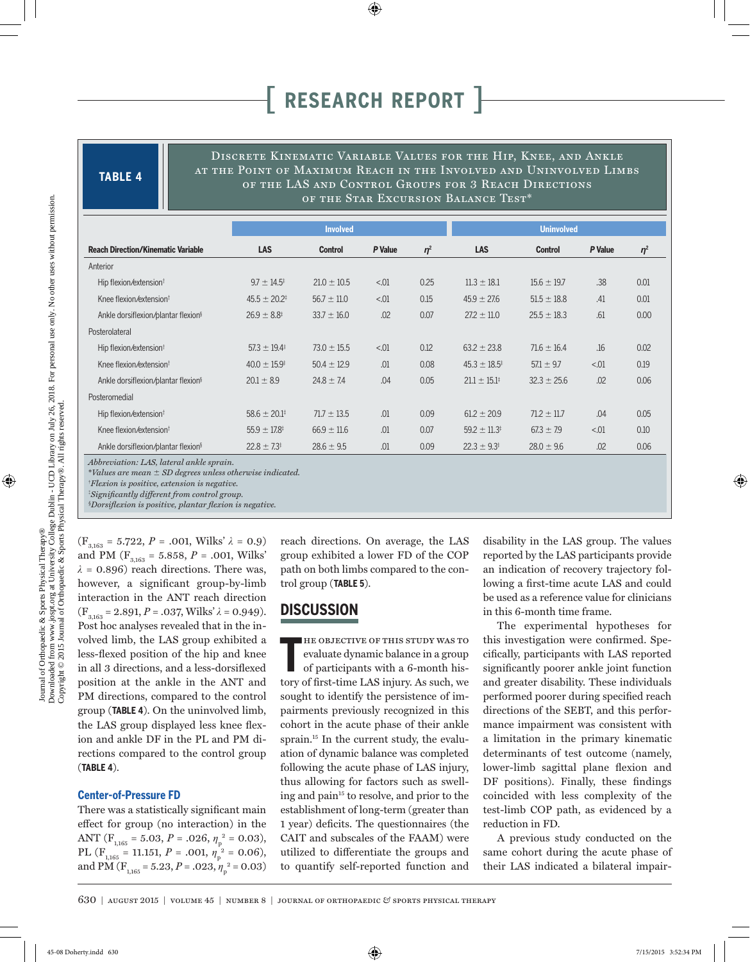**TABLE 4**

Discrete Kinematic Variable Values for the Hip, Knee, and Ankle at the Point of Maximum Reach in the Involved and Uninvolved Limbs of the LAS and Control Groups for 3 Reach Directions of the Star Excursion Balance Test\*

|                                                 | <b>Involved</b>            |                 |         | <b>Uninvolved</b> |                            |                 |         |          |
|-------------------------------------------------|----------------------------|-----------------|---------|-------------------|----------------------------|-----------------|---------|----------|
| <b>Reach Direction/Kinematic Variable</b>       | <b>LAS</b>                 | <b>Control</b>  | P Value | $\eta^2$          | LAS                        | <b>Control</b>  | P Value | $\eta^2$ |
| Anterior                                        |                            |                 |         |                   |                            |                 |         |          |
| Hip flexion/extension <sup>t</sup>              | $9.7 \pm 14.5^{\ddagger}$  | $21.0 \pm 10.5$ | < 0.01  | 0.25              | $11.3 \pm 18.1$            | $15.6 \pm 19.7$ | .38     | 0.01     |
| Knee flexion/extension <sup>t</sup>             | $45.5 \pm 20.2^{\ddagger}$ | $56.7 \pm 11.0$ | < 0.01  | 0.15              | $45.9 \pm 27.6$            | $51.5 \pm 18.8$ | .41     | 0.01     |
| Ankle dorsiflexion/plantar flexion <sup>§</sup> | $26.9 \pm 8.8^{\ddagger}$  | $33.7 \pm 16.0$ | .02     | 0.07              | $27.2 \pm 11.0$            | $25.5 \pm 18.3$ | .61     | 0.00     |
| Posterolateral                                  |                            |                 |         |                   |                            |                 |         |          |
| Hip flexion/extension <sup>†</sup>              | $57.3 \pm 19.4^{\ddagger}$ | $73.0 \pm 15.5$ | < 0.01  | 0.12              | $63.2 \pm 23.8$            | $71.6 \pm 16.4$ | .16     | 0.02     |
| Knee flexion/extension <sup>t</sup>             | $40.0 \pm 15.9^{\ddagger}$ | $50.4 \pm 12.9$ | .01     | 0.08              | $45.3 \pm 18.5^{\ddagger}$ | $57.1 \pm 9.7$  | < 01    | 0.19     |
| Ankle dorsiflexion/plantar flexion <sup>§</sup> | $20.1 \pm 8.9$             | $24.8 \pm 7.4$  | .04     | 0.05              | $21.1 \pm 15.1^{\ddagger}$ | $32.3 \pm 25.6$ | .02     | 0.06     |
| Posteromedial                                   |                            |                 |         |                   |                            |                 |         |          |
| Hip flexion/extension <sup>†</sup>              | $58.6 \pm 20.1^{\ddagger}$ | $71.7 \pm 13.5$ | .01     | 0.09              | $61.2 \pm 20.9$            | $71.2 \pm 11.7$ | .04     | 0.05     |
| Knee flexion/extension <sup>t</sup>             | $55.9 \pm 17.8^{\ddagger}$ | $66.9 \pm 11.6$ | .01     | 0.07              | $59.2 \pm 11.3^{\ddagger}$ | $67.3 \pm 7.9$  | < 01    | 0.10     |
| Ankle dorsiflexion/plantar flexion <sup>§</sup> | $22.8 \pm 7.3^{\ddagger}$  | $28.6 \pm 9.5$  | .01     | 0.09              | $22.3 \pm 9.3^{\ddagger}$  | $28.0 \pm 9.6$  | .02     | 0.06     |

*Abbreviation: LAS, lateral ankle sprain.*

\**Values are mean SD degrees unless otherwise indicated.*

† *Flexion is positive, extension is negative.*

‡ *Significantly different from control group.*

§*Dorsiflexion is positive, plantar flexion is negative.*

 $(F_{3,163} = 5.722, P = .001, Wilks' \lambda = 0.9)$ and PM ( $F_{3,163} = 5.858$ ,  $P = .001$ , Wilks'  $\lambda$  = 0.896) reach directions. There was, however, a significant group-by-limb interaction in the ANT reach direction  $(F_{3,163} = 2.891, P = .037,$  Wilks'  $\lambda = 0.949$ ). Post hoc analyses revealed that in the involved limb, the LAS group exhibited a less-flexed position of the hip and knee in all 3 directions, and a less-dorsiflexed position at the ankle in the ANT and PM directions, compared to the control group (**TABLE 4**). On the uninvolved limb, the LAS group displayed less knee flexion and ankle DF in the PL and PM directions compared to the control group (**TABLE 4**).

#### **Center-of-Pressure FD**

There was a statistically significant main effect for group (no interaction) in the ANT ( $F_{1,165} = 5.03$ ,  $P = .026$ ,  $\eta_p^2 = 0.03$ ), PL ( $F_{1,165} = 11.151$ ,  $P = .001$ ,  $\eta_p^2 = 0.06$ ), and PM ( $F_{1,165} = 5.23$ ,  $P = .023$ ,  $\eta_p^2 = 0.03$ ) reach directions. On average, the LAS group exhibited a lower FD of the COP path on both limbs compared to the control group (**TABLE 5**).

### **DISCUSSION**

**T** he objective of this study was to evaluate dynamic balance in a group of participants with a 6-month history of first-time LAS injury. As such, we sought to identify the persistence of impairments previously recognized in this cohort in the acute phase of their ankle sprain.<sup>15</sup> In the current study, the evaluation of dynamic balance was completed following the acute phase of LAS injury, thus allowing for factors such as swelling and pain<sup>15</sup> to resolve, and prior to the establishment of long-term (greater than 1 year) deficits. The questionnaires (the CAIT and subscales of the FAAM) were utilized to differentiate the groups and to quantify self-reported function and

disability in the LAS group. The values reported by the LAS participants provide an indication of recovery trajectory following a first-time acute LAS and could be used as a reference value for clinicians in this 6-month time frame.

The experimental hypotheses for this investigation were confirmed. Specifically, participants with LAS reported significantly poorer ankle joint function and greater disability. These individuals performed poorer during specified reach directions of the SEBT, and this performance impairment was consistent with a limitation in the primary kinematic determinants of test outcome (namely, lower-limb sagittal plane flexion and DF positions). Finally, these findings coincided with less complexity of the test-limb COP path, as evidenced by a reduction in FD.

A previous study conducted on the same cohort during the acute phase of their LAS indicated a bilateral impair-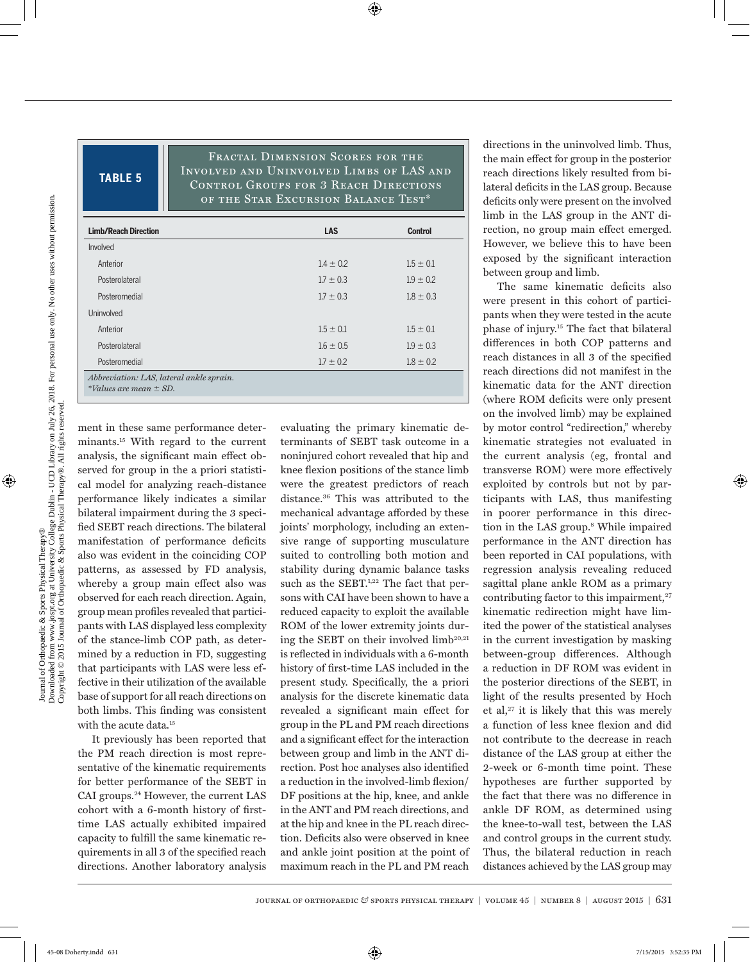### **TABLE 5**

Fractal Dimension Scores for the Involved and Uninvolved Limbs of LAS and Control Groups for 3 Reach Directions of the Star Excursion Balance Test\*

| <b>Limb/Reach Direction</b>                                            | <b>LAS</b>    | <b>Control</b> |
|------------------------------------------------------------------------|---------------|----------------|
| Involved                                                               |               |                |
| Anterior                                                               | $1.4 \pm 0.2$ | $1.5 \pm 0.1$  |
| Posterolateral                                                         | $1.7 \pm 0.3$ | $1.9 \pm 0.2$  |
| Posteromedial                                                          | $1.7 \pm 0.3$ | $1.8 \pm 0.3$  |
| Uninvolved                                                             |               |                |
| Anterior                                                               | $1.5 \pm 0.1$ | $1.5 \pm 0.1$  |
| Posterolateral                                                         | $1.6 \pm 0.5$ | $1.9 \pm 0.3$  |
| Posteromedial                                                          | $1.7 \pm 0.2$ | $1.8 \pm 0.2$  |
| Abbreviation: LAS, lateral ankle sprain.<br>*Values are mean $\pm$ SD. |               |                |

ment in these same performance determinants.15 With regard to the current analysis, the significant main effect observed for group in the a priori statistical model for analyzing reach-distance performance likely indicates a similar bilateral impairment during the 3 specified SEBT reach directions. The bilateral manifestation of performance deficits also was evident in the coinciding COP patterns, as assessed by FD analysis, whereby a group main effect also was observed for each reach direction. Again, group mean profiles revealed that participants with LAS displayed less complexity of the stance-limb COP path, as determined by a reduction in FD, suggesting that participants with LAS were less effective in their utilization of the available base of support for all reach directions on both limbs. This finding was consistent with the acute data.<sup>15</sup>

It previously has been reported that the PM reach direction is most representative of the kinematic requirements for better performance of the SEBT in CAI groups.24 However, the current LAS cohort with a 6-month history of firsttime LAS actually exhibited impaired capacity to fulfill the same kinematic requirements in all 3 of the specified reach directions. Another laboratory analysis

evaluating the primary kinematic determinants of SEBT task outcome in a noninjured cohort revealed that hip and knee flexion positions of the stance limb were the greatest predictors of reach distance.36 This was attributed to the mechanical advantage afforded by these joints' morphology, including an extensive range of supporting musculature suited to controlling both motion and stability during dynamic balance tasks such as the SEBT.<sup>1,22</sup> The fact that persons with CAI have been shown to have a reduced capacity to exploit the available ROM of the lower extremity joints during the SEBT on their involved  $limb<sup>20,21</sup>$ is reflected in individuals with a 6-month history of first-time LAS included in the present study. Specifically, the a priori analysis for the discrete kinematic data revealed a significant main effect for group in the PL and PM reach directions and a significant effect for the interaction between group and limb in the ANT direction. Post hoc analyses also identified a reduction in the involved-limb flexion/ DF positions at the hip, knee, and ankle in the ANT and PM reach directions, and at the hip and knee in the PL reach direction. Deficits also were observed in knee and ankle joint position at the point of maximum reach in the PL and PM reach

directions in the uninvolved limb. Thus, the main effect for group in the posterior reach directions likely resulted from bilateral deficits in the LAS group. Because deficits only were present on the involved limb in the LAS group in the ANT direction, no group main effect emerged. However, we believe this to have been exposed by the significant interaction between group and limb.

The same kinematic deficits also were present in this cohort of participants when they were tested in the acute phase of injury.15 The fact that bilateral differences in both COP patterns and reach distances in all 3 of the specified reach directions did not manifest in the kinematic data for the ANT direction (where ROM deficits were only present on the involved limb) may be explained by motor control "redirection," whereby kinematic strategies not evaluated in the current analysis (eg, frontal and transverse ROM) were more effectively exploited by controls but not by participants with LAS, thus manifesting in poorer performance in this direction in the LAS group.8 While impaired performance in the ANT direction has been reported in CAI populations, with regression analysis revealing reduced sagittal plane ankle ROM as a primary contributing factor to this impairment, $27$ kinematic redirection might have limited the power of the statistical analyses in the current investigation by masking between-group differences. Although a reduction in DF ROM was evident in the posterior directions of the SEBT, in light of the results presented by Hoch et al,<sup>27</sup> it is likely that this was merely a function of less knee flexion and did not contribute to the decrease in reach distance of the LAS group at either the 2-week or 6-month time point. These hypotheses are further supported by the fact that there was no difference in ankle DF ROM, as determined using the knee-to-wall test, between the LAS and control groups in the current study. Thus, the bilateral reduction in reach distances achieved by the LAS group may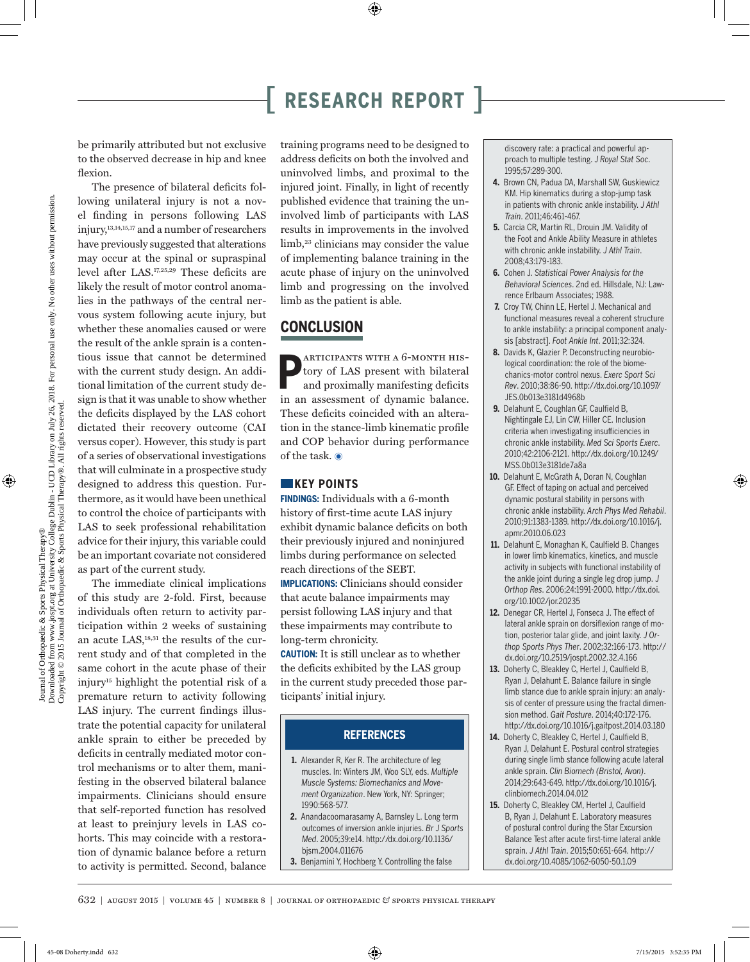be primarily attributed but not exclusive to the observed decrease in hip and knee flexion.

The presence of bilateral deficits following unilateral injury is not a novel finding in persons following LAS injury,13,14,15,17 and a number of researchers have previously suggested that alterations may occur at the spinal or supraspinal level after LAS.17,25,29 These deficits are likely the result of motor control anomalies in the pathways of the central nervous system following acute injury, but whether these anomalies caused or were the result of the ankle sprain is a contentious issue that cannot be determined with the current study design. An additional limitation of the current study design is that it was unable to show whether the deficits displayed by the LAS cohort dictated their recovery outcome (CAI versus coper). However, this study is part of a series of observational investigations that will culminate in a prospective study designed to address this question. Furthermore, as it would have been unethical to control the choice of participants with LAS to seek professional rehabilitation advice for their injury, this variable could be an important covariate not considered as part of the current study.

The immediate clinical implications of this study are 2-fold. First, because individuals often return to activity participation within 2 weeks of sustaining an acute LAS,<sup>18,31</sup> the results of the current study and of that completed in the same cohort in the acute phase of their injury15 highlight the potential risk of a premature return to activity following LAS injury. The current findings illustrate the potential capacity for unilateral ankle sprain to either be preceded by deficits in centrally mediated motor control mechanisms or to alter them, manifesting in the observed bilateral balance impairments. Clinicians should ensure that self-reported function has resolved at least to preinjury levels in LAS cohorts. This may coincide with a restoration of dynamic balance before a return to activity is permitted. Second, balance

training programs need to be designed to address deficits on both the involved and uninvolved limbs, and proximal to the injured joint. Finally, in light of recently published evidence that training the uninvolved limb of participants with LAS results in improvements in the involved limb,<sup>23</sup> clinicians may consider the value of implementing balance training in the acute phase of injury on the uninvolved limb and progressing on the involved limb as the patient is able.

### **CONCLUSION**

**P** articipants with a 6-month history of LAS present with bilateral and proximally manifesting deficits in an assessment of dynamic balance. These deficits coincided with an alteration in the stance-limb kinematic profile and COP behavior during performance of the task.  $\odot$ 

### **KEY POINTS**

**FINDINGS:** Individuals with a 6-month history of first-time acute LAS injury exhibit dynamic balance deficits on both their previously injured and noninjured limbs during performance on selected reach directions of the SEBT.

**IMPLICATIONS:** Clinicians should consider that acute balance impairments may persist following LAS injury and that these impairments may contribute to long-term chronicity.

**CAUTION:** It is still unclear as to whether the deficits exhibited by the LAS group in the current study preceded those participants' initial injury.

### **REFERENCES**

- **1.** Alexander R, Ker R. The architecture of leg muscles. In: Winters JM, Woo SLY, eds. *Multiple Muscle Systems: Biomechanics and Movement Organization*. New York, NY: Springer; 1990:568-577.
- **2.** Anandacoomarasamy A, Barnsley L. Long term outcomes of inversion ankle injuries. *Br J Sports Med*. 2005;39:e14. http://dx.doi.org/10.1136/ bjsm.2004.011676
- **3.** Benjamini Y, Hochberg Y. Controlling the false

discovery rate: a practical and powerful approach to multiple testing. *J Royal Stat Soc*. 1995;57:289-300.

- **4.** Brown CN, Padua DA, Marshall SW, Guskiewicz KM. Hip kinematics during a stop-jump task in patients with chronic ankle instability. *J Athl Train*. 2011;46:461-467.
- **5.** Carcia CR, Martin RL, Drouin JM. Validity of the Foot and Ankle Ability Measure in athletes with chronic ankle instability. *J Athl Train*. 2008;43:179-183.
- **6.** Cohen J. *Statistical Power Analysis for the Behavioral Sciences*. 2nd ed. Hillsdale, NJ: Lawrence Erlbaum Associates; 1988.
- **7.** Croy TW, Chinn LE, Hertel J. Mechanical and functional measures reveal a coherent structure to ankle instability: a principal component analysis [abstract]. *Foot Ankle Int*. 2011;32:324.
- **8.** Davids K, Glazier P. Deconstructing neurobiological coordination: the role of the biomechanics-motor control nexus. *Exerc Sport Sci Rev*. 2010;38:86-90. http://dx.doi.org/10.1097/ JES.0b013e3181d4968b
- **9.** Delahunt E, Coughlan GF, Caulfield B, Nightingale EJ, Lin CW, Hiller CE. Inclusion criteria when investigating insufficiencies in chronic ankle instability. *Med Sci Sports Exerc*. 2010;42:2106-2121. http://dx.doi.org/10.1249/ MSS.0b013e3181de7a8a
- **10.** Delahunt E, McGrath A, Doran N, Coughlan GF. Effect of taping on actual and perceived dynamic postural stability in persons with chronic ankle instability. *Arch Phys Med Rehabil*. 2010;91:1383-1389. http://dx.doi.org/10.1016/j. apmr.2010.06.023
- **11.** Delahunt E, Monaghan K, Caulfield B. Changes in lower limb kinematics, kinetics, and muscle activity in subjects with functional instability of the ankle joint during a single leg drop jump. *J Orthop Res*. 2006;24:1991-2000. http://dx.doi. org/10.1002/jor.20235
- **12.** Denegar CR, Hertel J, Fonseca J. The effect of lateral ankle sprain on dorsiflexion range of motion, posterior talar glide, and joint laxity. *J Orthop Sports Phys Ther*. 2002;32:166-173. http:// dx.doi.org/10.2519/jospt.2002.32.4.166
- **13.** Doherty C, Bleakley C, Hertel J, Caulfield B, Ryan J, Delahunt E. Balance failure in single limb stance due to ankle sprain injury: an analysis of center of pressure using the fractal dimension method. *Gait Posture*. 2014;40:172-176. http://dx.doi.org/10.1016/j.gaitpost.2014.03.180
- **14.** Doherty C, Bleakley C, Hertel J, Caulfield B, Ryan J, Delahunt E. Postural control strategies during single limb stance following acute lateral ankle sprain. *Clin Biomech (Bristol, Avon)*. 2014;29:643-649. http://dx.doi.org/10.1016/j. clinbiomech.2014.04.012
- **15.** Doherty C, Bleakley CM, Hertel J, Caulfield B, Ryan J, Delahunt E. Laboratory measures of postural control during the Star Excursion Balance Test after acute first-time lateral ankle sprain. *J Athl Train*. 2015;50:651-664. http:// dx.doi.org/10.4085/1062-6050-50.1.09